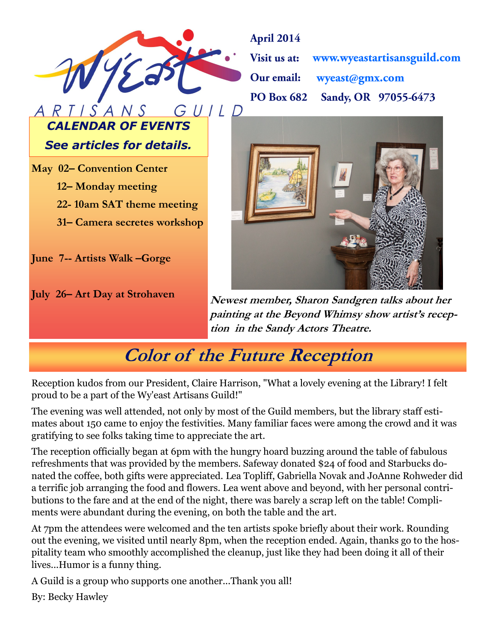

**April 2014** www.wyeastartisansguild.com Visit us at: Our email: wyeast@gmx.com Sandy, OR 97055-6473 **PO Box 682** 

*See articles for details.*

*CALENDAR OF EVENTS*

**May 02– Convention Center**

- **12– Monday meeting**
- **22- 10am SAT theme meeting**
- **31– Camera secretes workshop**

**June 7-- Artists Walk –Gorge**

**July 26– Art Day at Strohaven**



**Newest member, Sharon Sandgren talks about her painting at the Beyond Whimsy show artist's reception in the Sandy Actors Theatre.** 

# **Color of the Future Reception**

Reception kudos from our President, Claire Harrison, "What a lovely evening at the Library! I felt proud to be a part of the Wy'east Artisans Guild!"

The evening was well attended, not only by most of the Guild members, but the library staff estimates about 150 came to enjoy the festivities. Many familiar faces were among the crowd and it was gratifying to see folks taking time to appreciate the art.

The reception officially began at 6pm with the hungry hoard buzzing around the table of fabulous refreshments that was provided by the members. Safeway donated \$24 of food and Starbucks donated the coffee, both gifts were appreciated. Lea Topliff, Gabriella Novak and JoAnne Rohweder did a terrific job arranging the food and flowers. Lea went above and beyond, with her personal contributions to the fare and at the end of the night, there was barely a scrap left on the table! Compliments were abundant during the evening, on both the table and the art.

At 7pm the attendees were welcomed and the ten artists spoke briefly about their work. Rounding out the evening, we visited until nearly 8pm, when the reception ended. Again, thanks go to the hospitality team who smoothly accomplished the cleanup, just like they had been doing it all of their lives...Humor is a funny thing.

A Guild is a group who supports one another...Thank you all!

By: Becky Hawley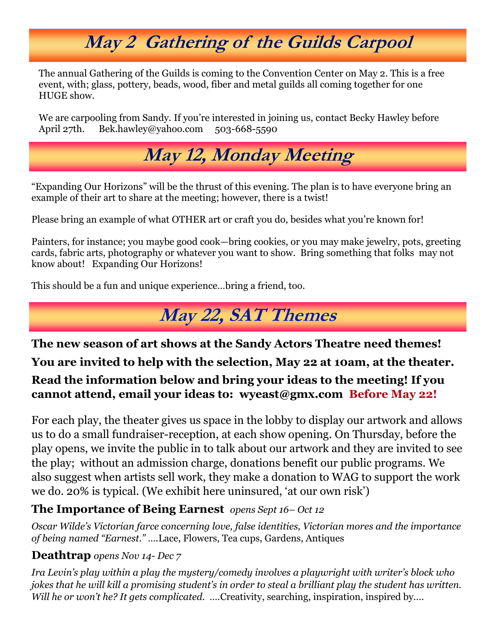# **May 2 Gathering of the Guilds Carpool**

The annual Gathering of the Guilds is coming to the Convention Center on May 2. This is a free event, with; glass, pottery, beads, wood, fiber and metal guilds all coming together for one HUGE show.

We are carpooling from Sandy. If you're interested in joining us, contact Becky Hawley before April 27th. Bek.hawley@yahoo.com 503-668-5590



"Expanding Our Horizons" will be the thrust of this evening. The plan is to have everyone bring an example of their art to share at the meeting; however, there is a twist!

Please bring an example of what OTHER art or craft you do, besides what you're known for!

Painters, for instance; you maybe good cook—bring cookies, or you may make jewelry, pots, greeting cards, fabric arts, photography or whatever you want to show. Bring something that folks may not know about! Expanding Our Horizons!

This should be a fun and unique experience…bring a friend, too.

# **May 22, SAT Themes**

**The new season of art shows at the Sandy Actors Theatre need themes! You are invited to help with the selection, May 22 at 10am, at the theater. Read the information below and bring your ideas to the meeting! If you cannot attend, email your ideas to: wyeast@gmx.com Before May 22!**

For each play, the theater gives us space in the lobby to display our artwork and allows us to do a small fundraiser-reception, at each show opening. On Thursday, before the play opens, we invite the public in to talk about our artwork and they are invited to see the play; without an admission charge, donations benefit our public programs. We also suggest when artists sell work, they make a donation to WAG to support the work we do. 20% is typical. (We exhibit here uninsured, 'at our own risk')

### **The Importance of Being Earnest** *opens Sept 16– Oct 12*

*Oscar Wilde's Victorian farce concerning love, false identities, Victorian mores and the importance of being named "Earnest." ….*Lace, Flowers, Tea cups, Gardens, Antiques

### **Deathtrap** *opens Nov 14- Dec 7*

*Ira Levin's play within a play the mystery/comedy involves a playwright with writer's block who jokes that he will kill a promising student's in order to steal a brilliant play the student has written. Will he or won't he? It gets complicated. ....Creativity, searching, inspiration, inspired by....*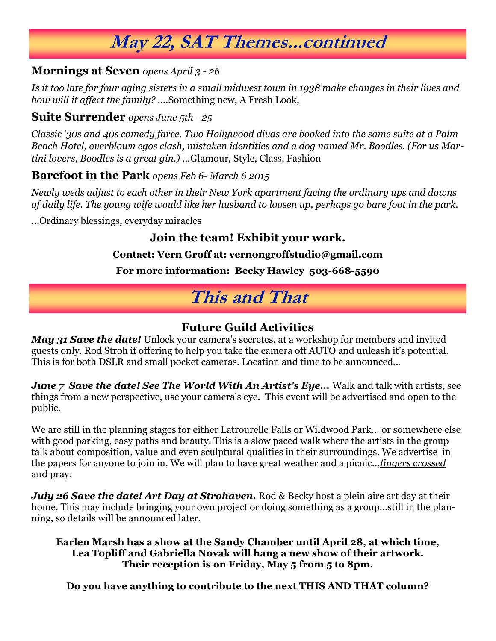# **May 22, SAT Themes...continued**

#### **Mornings at Seven** *opens April 3 - 26*

*Is it too late for four aging sisters in a small midwest town in 1938 make changes in their lives and how will it affect the family? ….*Something new, A Fresh Look,

### **Suite Surrender** *opens June 5th - 25*

*Classic '30s and 40s comedy farce. Two Hollywood divas are booked into the same suite at a Palm Beach Hotel, overblown egos clash, mistaken identities and a dog named Mr. Boodles. (For us Martini lovers, Boodles is a great gin.) ...*Glamour, Style, Class, Fashion

### **Barefoot in the Park** *opens Feb 6- March 6 2015*

*Newly weds adjust to each other in their New York apartment facing the ordinary ups and downs of daily life. The young wife would like her husband to loosen up, perhaps go bare foot in the park.*

...Ordinary blessings, everyday miracles

### **Join the team! Exhibit your work.**

#### **Contact: Vern Groff at: vernongroffstudio@gmail.com**

#### **For more information: Becky Hawley 503-668-5590**

## **This and That**

### **Future Guild Activities**

*May 31 Save the date!* Unlock your camera's secretes, at a workshop for members and invited guests only. Rod Stroh if offering to help you take the camera off AUTO and unleash it's potential. This is for both DSLR and small pocket cameras. Location and time to be announced...

*June 7 Save the date! See The World With An Artist's Eye...* Walk and talk with artists, see things from a new perspective, use your camera's eye. This event will be advertised and open to the public.

We are still in the planning stages for either Latrourelle Falls or Wildwood Park... or somewhere else with good parking, easy paths and beauty. This is a slow paced walk where the artists in the group talk about composition, value and even sculptural qualities in their surroundings. We advertise in the papers for anyone to join in. We will plan to have great weather and a picnic...*fingers crossed* and pray.

*July 26 Save the date! Art Day at Strohaven.* Rod & Becky host a plein aire art day at their home. This may include bringing your own project or doing something as a group...still in the planning, so details will be announced later.

#### **Earlen Marsh has a show at the Sandy Chamber until April 28, at which time, Lea Topliff and Gabriella Novak will hang a new show of their artwork. Their reception is on Friday, May 5 from 5 to 8pm.**

**Do you have anything to contribute to the next THIS AND THAT column?**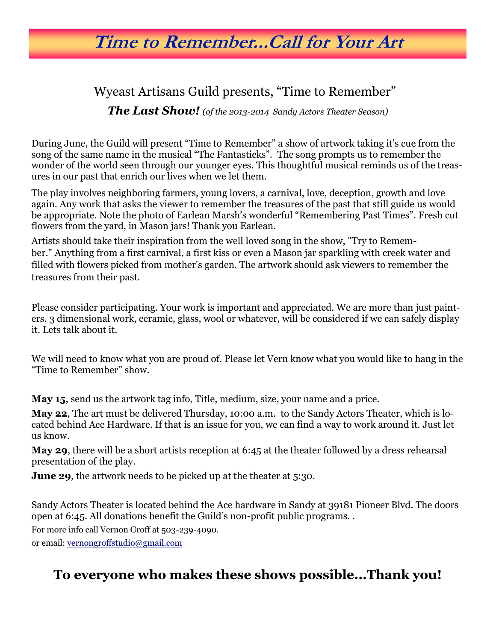## **Time to Remember...Call for Your Art**

### Wyeast Artisans Guild presents, "Time to Remember"

*The Last Show! (of the 2013-2014 Sandy Actors Theater Season)*

During June, the Guild will present "Time to Remember" a show of artwork taking it's cue from the song of the same name in the musical "The Fantasticks". The song prompts us to remember the wonder of the world seen through our younger eyes. This thoughtful musical reminds us of the treasures in our past that enrich our lives when we let them.

The play involves neighboring farmers, young lovers, a carnival, love, deception, growth and love again. Any work that asks the viewer to remember the treasures of the past that still guide us would be appropriate. Note the photo of Earlean Marsh's wonderful "Remembering Past Times". Fresh cut flowers from the yard, in Mason jars! Thank you Earlean.

Artists should take their inspiration from the well loved song in the show, "Try to Remember." Anything from a first carnival, a first kiss or even a Mason jar sparkling with creek water and filled with flowers picked from mother's garden. The artwork should ask viewers to remember the treasures from their past.

Please consider participating. Your work is important and appreciated. We are more than just painters. 3 dimensional work, ceramic, glass, wool or whatever, will be considered if we can safely display it. Lets talk about it.

We will need to know what you are proud of. Please let Vern know what you would like to hang in the "Time to Remember" show.

**May 15**, send us the artwork tag info, Title, medium, size, your name and a price.

**May 22**, The art must be delivered Thursday, 10:00 a.m. to the Sandy Actors Theater, which is located behind Ace Hardware. If that is an issue for you, we can find a way to work around it. Just let us know.

**May 29**, there will be a short artists reception at 6:45 at the theater followed by a dress rehearsal presentation of the play.

**June 29**, the artwork needs to be picked up at the theater at 5:30.

Sandy Actors Theater is located behind the Ace hardware in Sandy at 39181 Pioneer Blvd. The doors open at 6:45. All donations benefit the Guild's non-profit public programs. .

For more info call Vernon Groff at 503-239-4090.

or email: [vernongroffstudio@gmail.com](mailto:vernongroffstudio@gmail.com)

### **To everyone who makes these shows possible...Thank you!**